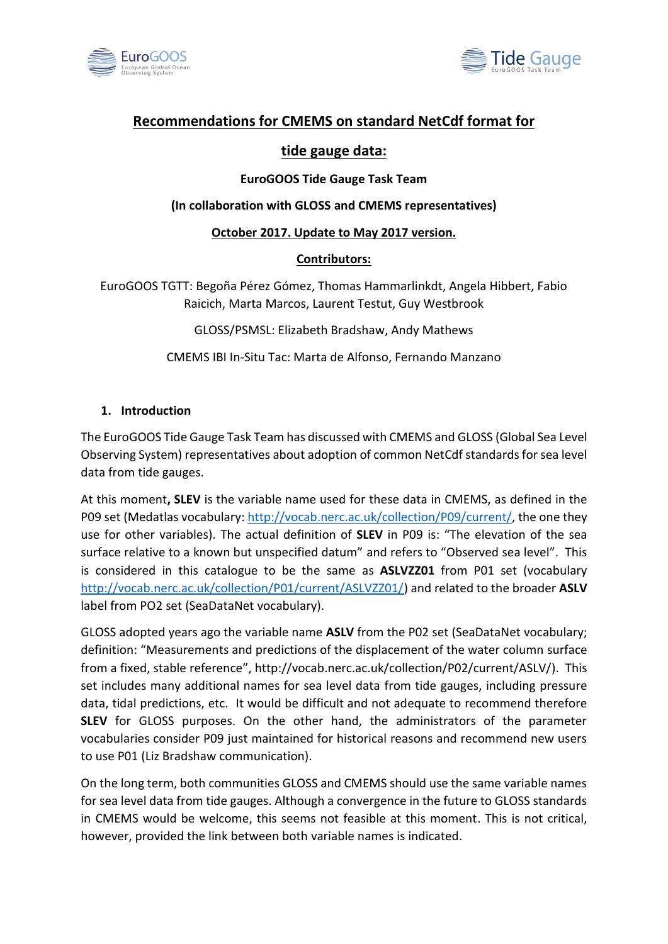



# **Recommendations for CMEMS on standard NetCdf format for**

# **tide gauge data:**

### **EuroGOOS Tide Gauge Task Team**

#### **(In collaboration with GLOSS and CMEMS representatives)**

#### **October 2017. Update to May 2017 version.**

### **Contributors:**

EuroGOOS TGTT: Begoña Pérez Gómez, Thomas Hammarlinkdt, Angela Hibbert, Fabio Raicich, Marta Marcos, Laurent Testut, Guy Westbrook

GLOSS/PSMSL: Elizabeth Bradshaw, Andy Mathews

CMEMS IBI In-Situ Tac: Marta de Alfonso, Fernando Manzano

### **1. Introduction**

The EuroGOOS Tide Gauge Task Team has discussed with CMEMS and GLOSS (Global Sea Level Observing System) representatives about adoption of common NetCdf standards for sea level data from tide gauges.

At this moment**, SLEV** is the variable name used for these data in CMEMS, as defined in the P09 set (Medatlas vocabulary[: http://vocab.nerc.ac.uk/collection/P09/current/,](http://vocab.nerc.ac.uk/collection/P09/current/) the one they use for other variables). The actual definition of **SLEV** in P09 is: "The elevation of the sea surface relative to a known but unspecified datum" and refers to "Observed sea level". This is considered in this catalogue to be the same as **ASLVZZ01** from P01 set (vocabulary [http://vocab.nerc.ac.uk/collection/P01/current/ASLVZZ01/\)](http://vocab.nerc.ac.uk/collection/P01/current/ASLVZZ01/) and related to the broader **ASLV**  label from PO2 set (SeaDataNet vocabulary).

GLOSS adopted years ago the variable name **ASLV** from the P02 set (SeaDataNet vocabulary; definition: "Measurements and predictions of the displacement of the water column surface from a fixed, stable reference", http://vocab.nerc.ac.uk/collection/P02/current/ASLV/). This set includes many additional names for sea level data from tide gauges, including pressure data, tidal predictions, etc. It would be difficult and not adequate to recommend therefore **SLEV** for GLOSS purposes. On the other hand, the administrators of the parameter vocabularies consider P09 just maintained for historical reasons and recommend new users to use P01 (Liz Bradshaw communication).

On the long term, both communities GLOSS and CMEMS should use the same variable names for sea level data from tide gauges. Although a convergence in the future to GLOSS standards in CMEMS would be welcome, this seems not feasible at this moment. This is not critical, however, provided the link between both variable names is indicated.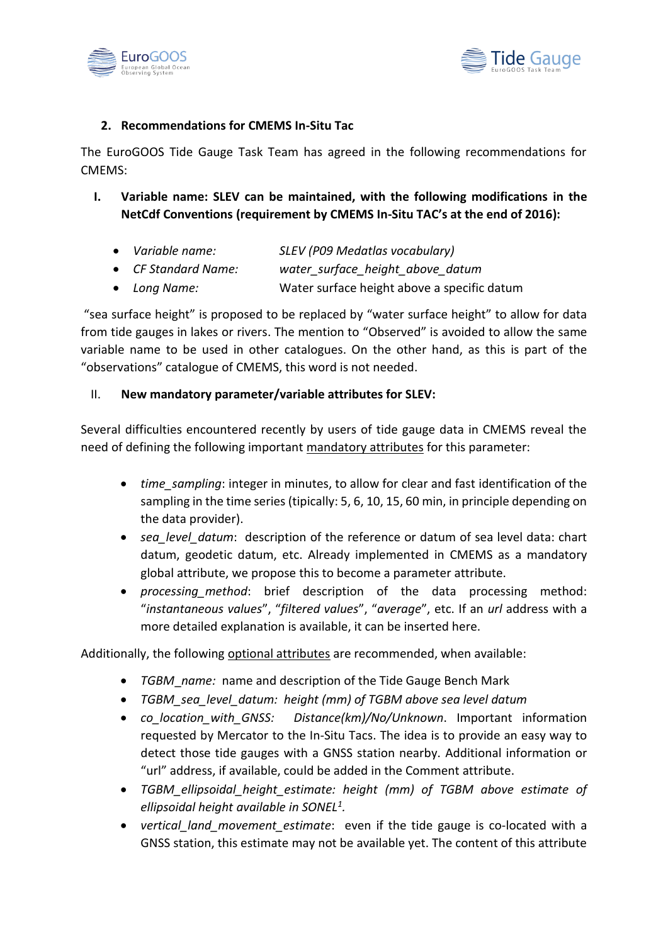



## **2. Recommendations for CMEMS In-Situ Tac**

The EuroGOOS Tide Gauge Task Team has agreed in the following recommendations for CMEMS:

- **I. Variable name: SLEV can be maintained, with the following modifications in the NetCdf Conventions (requirement by CMEMS In-Situ TAC's at the end of 2016):**
	- *Variable name: SLEV (P09 Medatlas vocabulary)*
	- *CF Standard Name: water\_surface\_height\_above\_datum*
	- *Long Name:* Water surface height above a specific datum

"sea surface height" is proposed to be replaced by "water surface height" to allow for data from tide gauges in lakes or rivers. The mention to "Observed" is avoided to allow the same variable name to be used in other catalogues. On the other hand, as this is part of the "observations" catalogue of CMEMS, this word is not needed.

#### II. **New mandatory parameter/variable attributes for SLEV:**

Several difficulties encountered recently by users of tide gauge data in CMEMS reveal the need of defining the following important mandatory attributes for this parameter:

- *time sampling*: integer in minutes, to allow for clear and fast identification of the sampling in the time series (tipically: 5, 6, 10, 15, 60 min, in principle depending on the data provider).
- *sea level datum*: description of the reference or datum of sea level data: chart datum, geodetic datum, etc. Already implemented in CMEMS as a mandatory global attribute, we propose this to become a parameter attribute.
- *processing\_method*: brief description of the data processing method: "*instantaneous values*", "*filtered values*", "*average*", etc. If an *url* address with a more detailed explanation is available, it can be inserted here.

Additionally, the following optional attributes are recommended, when available:

- *TGBM*\_*name:* name and description of the Tide Gauge Bench Mark
- *TGBM\_sea\_level\_datum: height (mm) of TGBM above sea level datum*
- *co\_location\_with\_GNSS: Distance(km)/No/Unknown*. Important information requested by Mercator to the In-Situ Tacs. The idea is to provide an easy way to detect those tide gauges with a GNSS station nearby. Additional information or "url" address, if available, could be added in the Comment attribute.
- *TGBM\_ellipsoidal\_height\_estimate: height (mm) of TGBM above estimate of ellipsoidal height available in SONEL<sup>1</sup> .*
- *vertical land movement estimate*: even if the tide gauge is co-located with a GNSS station, this estimate may not be available yet. The content of this attribute